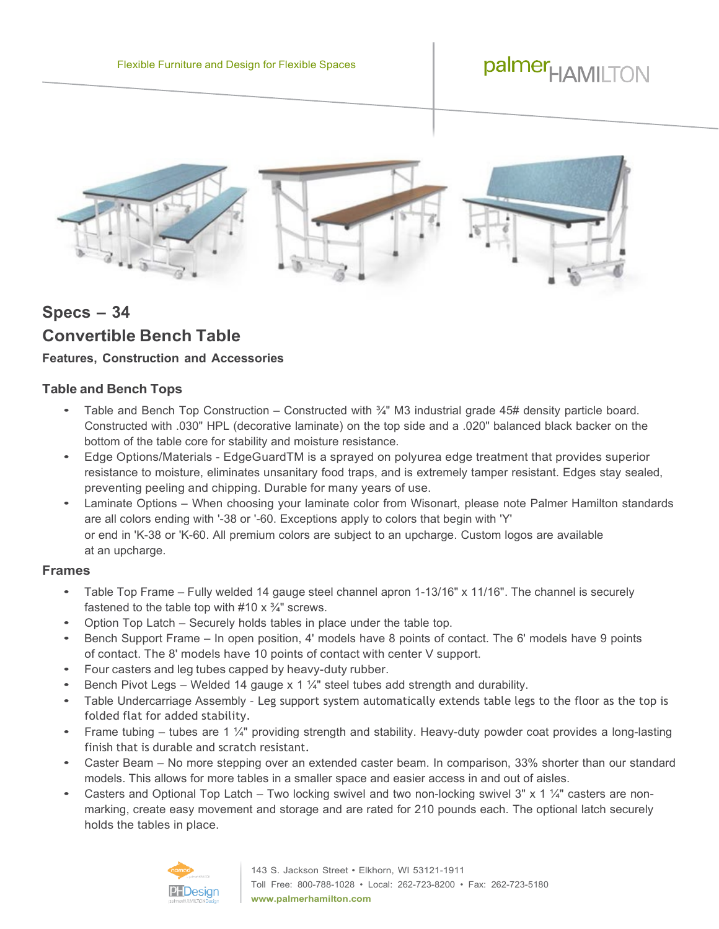

# **Specs – 34 Convertible Bench Table**

# **Features, Construction and Accessories**

## **Table and Bench Tops**

- Table and Bench Top Construction Constructed with  $\frac{3}{4}$ " M3 industrial grade 45# density particle board. Constructed with .030" HPL (decorative laminate) on the top side and a .020" balanced black backer on the bottom of the table core for stability and moisture resistance.
- Edge Options/Materials EdgeGuardTM is a sprayed on polyurea edge treatment that provides superior resistance to moisture, eliminates unsanitary food traps, and is extremely tamper resistant. Edges stay sealed, preventing peeling and chipping. Durable for many years of use.
- Laminate Options When choosing your laminate color from Wisonart, please note Palmer Hamilton standards are all colors ending with '-38 or '-60. Exceptions apply to colors that begin with 'Y' or end in 'K-38 or 'K-60. All premium colors are subject to an upcharge. Custom logos are available at an upcharge.

#### **Frames**

- Table Top Frame Fully welded <sup>14</sup> gauge steel channel apron 1-13/16" <sup>x</sup> 11/16". The channel is securely fastened to the table top with  $#10 \times \frac{3}{4}$ " screws.
- Option Top Latch Securely holds tables in place under the table top.
- Bench Support Frame In open position, 4' models have <sup>8</sup> points of contact. The 6' models have <sup>9</sup> points of contact. The 8' models have 10 points of contact with center V support.
- Four casters and leg tubes capped by heavy-duty rubber.
- Bench Pivot Legs Welded 14 gauge x 1  $\frac{1}{4}$ " steel tubes add strength and durability.
- Table Undercarriage Assembly Leg support system automatically extends table legs to the floor as the top is folded flat for added stability.
- Frame tubing tubes are 1 ¼" providing strength and stability. Heavy-duty powder coat provides a long-lasting finish that is durable and scratch resistant.
- Caster Beam No more stepping over an extended caster beam. In comparison, 33% shorter than our standard models. This allows for more tables in a smaller space and easier access in and out of aisles.
- Casters and Optional Top Latch Two locking swivel and two non-locking swivel 3" x 1  $\frac{1}{4}$ " casters are nonmarking, create easy movement and storage and are rated for 210 pounds each. The optional latch securely holds the tables in place.

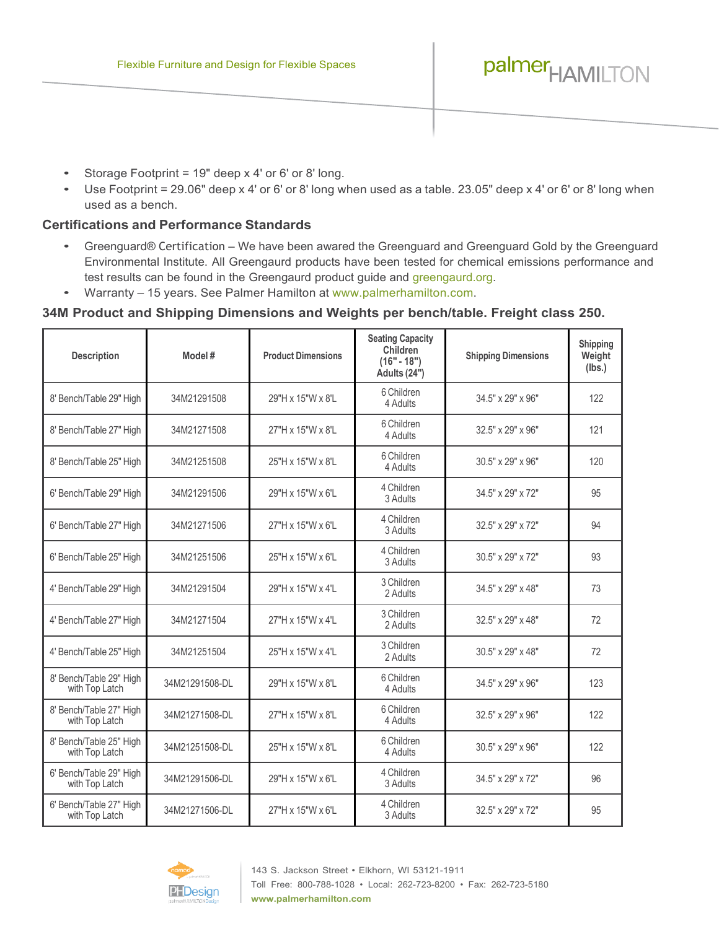- Storage Footprint = 19" deep x 4' or 6' or 8' long.
- Use Footprint = 29.06" deep x 4' or 6' or 8' long when used as a table. 23.05" deep x 4' or 6' or 8' long when used as a bench.

### **Certifications and Performance Standards**

- Greenguard® Certification We have been awared the Greenguard and Greenguard Gold by the Greenguard Environmental Institute. All Greengaurd products have been tested for chemical emissions performance and test results can be found in the Greengaurd product guide and [greengaurd.org.](https://spot.ul.com/greenguard/)
- Warranty 15 years. See Palmer Hamilton at [www.palmerhamilton.com.](https://palmerhamilton.com/resources/warranty/)

## **34M Product and Shipping Dimensions and Weights per bench/table. Freight class 250.**

| <b>Description</b>                        | Model #        | <b>Product Dimensions</b> | <b>Seating Capacity</b><br>Children<br>$(16" - 18")$<br>Adults (24") | <b>Shipping Dimensions</b> | Shipping<br>Weight<br>(lbs.) |
|-------------------------------------------|----------------|---------------------------|----------------------------------------------------------------------|----------------------------|------------------------------|
| 8' Bench/Table 29" High                   | 34M21291508    | 29"H x 15"W x 8'L         | 6 Children<br>4 Adults                                               | 34.5" x 29" x 96"          | 122                          |
| 8' Bench/Table 27" High                   | 34M21271508    | 27"H x 15"W x 8'L         | 6 Children<br>4 Adults                                               | 32.5" x 29" x 96"          | 121                          |
| 8' Bench/Table 25" High                   | 34M21251508    | 25"H x 15"W x 8'L         | 6 Children<br>4 Adults                                               | 30.5" x 29" x 96"          | 120                          |
| 6' Bench/Table 29" High                   | 34M21291506    | 29"H x 15"W x 6'L         | 4 Children<br>3 Adults                                               | 34.5" x 29" x 72"          | 95                           |
| 6' Bench/Table 27" High                   | 34M21271506    | 27"H x 15"W x 6'L         | 4 Children<br>3 Adults                                               | 32.5" x 29" x 72"          | 94                           |
| 6' Bench/Table 25" High                   | 34M21251506    | 25"H x 15"W x 6'L         | 4 Children<br>3 Adults                                               | 30.5" x 29" x 72"          | 93                           |
| 4' Bench/Table 29" High                   | 34M21291504    | 29"H x 15"W x 4'L         | 3 Children<br>2 Adults                                               | 34.5" x 29" x 48"          | 73                           |
| 4' Bench/Table 27" High                   | 34M21271504    | 27"H x 15"W x 4'L         | 3 Children<br>2 Adults                                               | 32.5" x 29" x 48"          | 72                           |
| 4' Bench/Table 25" High                   | 34M21251504    | 25"H x 15"W x 4'L         | 3 Children<br>2 Adults                                               | 30.5" x 29" x 48"          | 72                           |
| 8' Bench/Table 29" High<br>with Top Latch | 34M21291508-DL | 29"H x 15"W x 8'L         | 6 Children<br>4 Adults                                               | 34.5" x 29" x 96"          | 123                          |
| 8' Bench/Table 27" High<br>with Top Latch | 34M21271508-DL | 27"H x 15"W x 8'L         | 6 Children<br>4 Adults                                               | 32.5" x 29" x 96"          | 122                          |
| 8' Bench/Table 25" High<br>with Top Latch | 34M21251508-DL | 25"H x 15"W x 8'L         | 6 Children<br>4 Adults                                               | 30.5" x 29" x 96"          | 122                          |
| 6' Bench/Table 29" High<br>with Top Latch | 34M21291506-DL | 29"H x 15"W x 6'L         | 4 Children<br>3 Adults                                               | 34.5" x 29" x 72"          | 96                           |
| 6' Bench/Table 27" High<br>with Top Latch | 34M21271506-DL | 27"H x 15"W x 6'L         | 4 Children<br>3 Adults                                               | 32.5" x 29" x 72"          | 95                           |

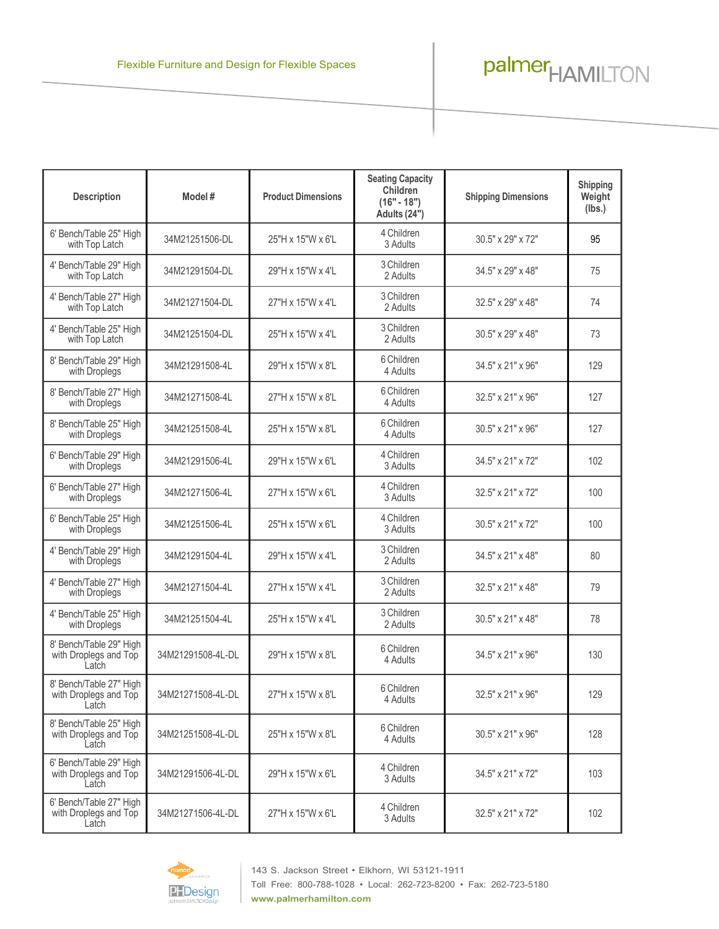| <b>Description</b>                                        | Model#            | <b>Product Dimensions</b> | <b>Seating Capacity</b><br><b>Children</b><br>$(16" - 18")$<br>Adults (24") | <b>Shipping Dimensions</b> | Shipping<br>Weight<br>(lbs.) |
|-----------------------------------------------------------|-------------------|---------------------------|-----------------------------------------------------------------------------|----------------------------|------------------------------|
| 6' Bench/Table 25" High<br>with Top Latch                 | 34M21251506-DL    | 25"H x 15"W x 6'L         | 4 Children<br>3 Adults                                                      | 30.5" x 29" x 72"          | 95                           |
| 4' Bench/Table 29" High<br>with Top Latch                 | 34M21291504-DL    | 29"H x 15"W x 4'L         | 3 Children<br>2 Adults                                                      | 34.5" x 29" x 48"          | 75                           |
| 4' Bench/Table 27" High<br>with Top Latch                 | 34M21271504-DL    | 27"H x 15"W x 4'L         | 3 Children<br>2 Adults                                                      | 32.5" x 29" x 48"          | 74                           |
| 4' Bench/Table 25" High<br>with Top Latch                 | 34M21251504-DL    | 25"H x 15"W x 4'L         | 3 Children<br>2 Adults                                                      | 30.5" x 29" x 48"          | 73                           |
| 8' Bench/Table 29" High<br>with Droplegs                  | 34M21291508-4L    | 29"H x 15"W x 8'L         | 6 Children<br>4 Adults                                                      | 34.5" x 21" x 96"          | 129                          |
| 8' Bench/Table 27" High<br>with Droplegs                  | 34M21271508-4L    | 27"H x 15"W x 8'L         | 6 Children<br>4 Adults                                                      | 32.5" x 21" x 96"          | 127                          |
| 8' Bench/Table 25" High<br>with Droplegs                  | 34M21251508-4L    | 25"H x 15"W x 8'L         | 6 Children<br>4 Adults                                                      | 30.5" x 21" x 96"          | 127                          |
| 6' Bench/Table 29" High<br>with Droplegs                  | 34M21291506-4L    | 29"H x 15"W x 6'L         | 4 Children<br>3 Adults                                                      | 34.5" x 21" x 72"          | 102                          |
| 6' Bench/Table 27" High<br>with Droplegs                  | 34M21271506-4L    | 27"H x 15"W x 6'L         | 4 Children<br>3 Adults                                                      | 32.5" x 21" x 72"          | 100                          |
| 6' Bench/Table 25" High<br>with Droplegs                  | 34M21251506-4L    | 25"H x 15"W x 6'L         | 4 Children<br>3 Adults                                                      | 30.5" x 21" x 72"          | 100                          |
| 4' Bench/Table 29" High<br>with Droplegs                  | 34M21291504-4L    | 29"H x 15"W x 4'L         | 3 Children<br>2 Adults                                                      | 34.5" x 21" x 48"          | 80                           |
| 4' Bench/Table 27" High<br>with Droplegs                  | 34M21271504-4L    | 27"H x 15"W x 4'L         | 3 Children<br>2 Adults                                                      | 32.5" x 21" x 48"          | 79                           |
| 4' Bench/Table 25" High<br>with Droplegs                  | 34M21251504-4L    | 25"H x 15"W x 4'L         | 3 Children<br>2 Adults                                                      | 30.5" x 21" x 48"          | 78                           |
| 8' Bench/Table 29" High<br>with Droplegs and Top<br>Latch | 34M21291508-4L-DL | 29"H x 15"W x 8'L         | 6 Children<br>4 Adults                                                      | 34.5" x 21" x 96"          | 130                          |
| 8' Bench/Table 27" High<br>with Droplegs and Top<br>Latch | 34M21271508-4L-DL | 27"H x 15"W x 8'L         | 6 Children<br>4 Adults                                                      | 32.5" x 21" x 96"          | 129                          |
| 8' Bench/Table 25" High<br>with Droplegs and Top<br>Latch | 34M21251508-4L-DL | 25"H x 15"W x 8'L         | 6 Children<br>4 Adults                                                      | 30.5" x 21" x 96"          | 128                          |
| 6' Bench/Table 29" High<br>with Droplegs and Top<br>Latch | 34M21291506-4L-DL | 29"H x 15"W x 6'L         | 4 Children<br>3 Adults                                                      | 34.5" x 21" x 72"          | 103                          |
| 6' Bench/Table 27" High<br>with Droplegs and Top<br>Latch | 34M21271506-4L-DL | 27"H x 15"W x 6'L         | 4 Children<br>3 Adults                                                      | 32.5" x 21" x 72"          | 102                          |